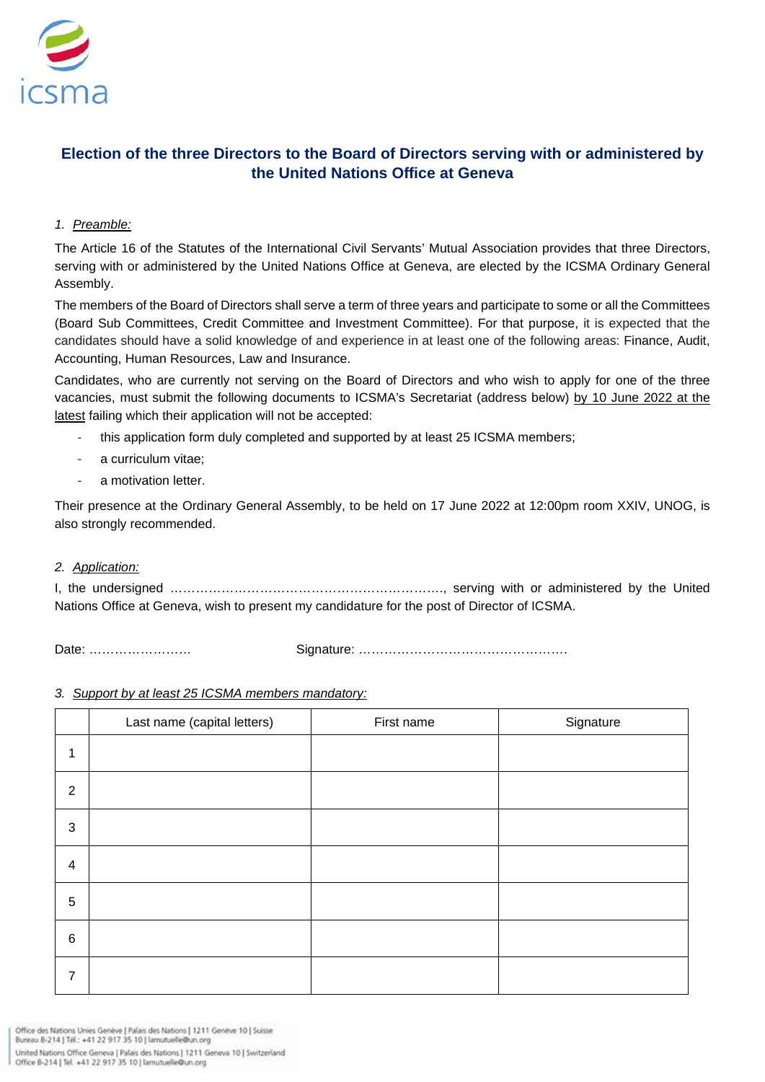

## **Election of the three Directors to the Board of Directors serving with or administered by the United Nations Office at Geneva**

## *1. Preamble:*

The Article 16 of the Statutes of the International Civil Servants' Mutual Association provides that three Directors, serving with or administered by the United Nations Office at Geneva, are elected by the ICSMA Ordinary General Assembly.

The members of the Board of Directors shall serve a term of three years and participate to some or all the Committees (Board Sub Committees, Credit Committee and Investment Committee). For that purpose, it is expected that the candidates should have a solid knowledge of and experience in at least one of the following areas: Finance, Audit, Accounting, Human Resources, Law and Insurance.

Candidates, who are currently not serving on the Board of Directors and who wish to apply for one of the three vacancies, must submit the following documents to ICSMA's Secretariat (address below) by 10 June 2022 at the latest failing which their application will not be accepted:

- this application form duly completed and supported by at least 25 ICSMA members;
- a curriculum vitae;
- a motivation letter.

Their presence at the Ordinary General Assembly, to be held on 17 June 2022 at 12:00pm room XXIV, UNOG, is also strongly recommended.

## *2. Application:*

I, the undersigned ………………………………………………………., serving with or administered by the United Nations Office at Geneva, wish to present my candidature for the post of Director of ICSMA.

Date: …………………… Signature: ………………………………………….

## *3. Support by at least 25 ICSMA members mandatory:*

|                          | Last name (capital letters) | First name | Signature |
|--------------------------|-----------------------------|------------|-----------|
| $\mathbf{1}$             |                             |            |           |
| $\overline{2}$           |                             |            |           |
| $\sqrt{3}$               |                             |            |           |
| $\overline{\mathcal{A}}$ |                             |            |           |
| $5\phantom{.0}$          |                             |            |           |
| $\,6\,$                  |                             |            |           |
| 7                        |                             |            |           |